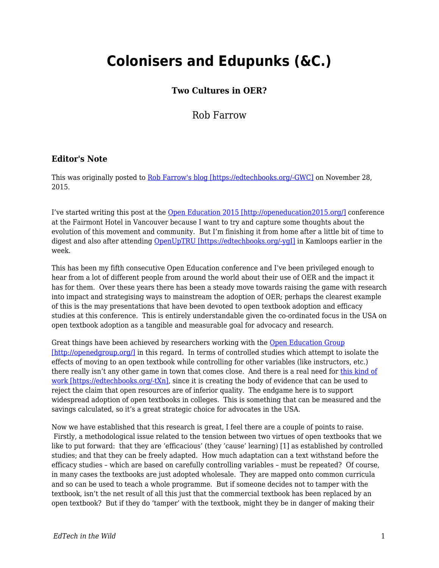## **Colonisers and Edupunks (&C.)**

## **Two Cultures in OER?**

Rob Farrow

## **Editor's Note**

This was originally posted to [Rob Farrow's blog \[https://edtechbooks.org/-GWC\]](https://philosopher1978.wordpress.com/2015/11/28/colonisers-and-edupunks-c-two-cultures-in-oer/) on November 28, 2015.

I've started writing this post at the [Open Education 2015 \[http://openeducation2015.org/\]](http://openeducation2015.org/) conference at the Fairmont Hotel in Vancouver because I want to try and capture some thoughts about the evolution of this movement and community. But I'm finishing it from home after a little bit of time to digest and also after attending [OpenUpTRU \[https://edtechbooks.org/-ygI\]](https://twitter.com/hashtag/openuptru) in Kamloops earlier in the week.

This has been my fifth consecutive Open Education conference and I've been privileged enough to hear from a lot of different people from around the world about their use of OER and the impact it has for them. Over these years there has been a steady move towards raising the game with research into impact and strategising ways to mainstream the adoption of OER; perhaps the clearest example of this is the may presentations that have been devoted to open textbook adoption and efficacy studies at this conference. This is entirely understandable given the co-ordinated focus in the USA on open textbook adoption as a tangible and measurable goal for advocacy and research.

Great things have been achieved by researchers working with the [Open Education Group](http://openedgroup.org/) [\[http://openedgroup.org/\]](http://openedgroup.org/) in this regard. In terms of controlled studies which attempt to isolate the effects of moving to an open textbook while controlling for other variables (like instructors, etc.) there really isn't any other game in town that comes close. And there is a real need for [this kind of](http://www.library.umass.edu/assets/Open-Education-Resources/OER-Articles/A-multi-institutional-study-of-the-impact-of-open-textbook-adoption-on-the-lear.pdf) [work \[https://edtechbooks.org/-tXn\],](http://www.library.umass.edu/assets/Open-Education-Resources/OER-Articles/A-multi-institutional-study-of-the-impact-of-open-textbook-adoption-on-the-lear.pdf) since it is creating the body of evidence that can be used to reject the claim that open resources are of inferior quality. The endgame here is to support widespread adoption of open textbooks in colleges. This is something that can be measured and the savings calculated, so it's a great strategic choice for advocates in the USA.

Now we have established that this research is great, I feel there are a couple of points to raise. Firstly, a methodological issue related to the tension between two virtues of open textbooks that we like to put forward: that they are 'efficacious' (they 'cause' learning) [1] as established by controlled studies; and that they can be freely adapted. How much adaptation can a text withstand before the efficacy studies – which are based on carefully controlling variables – must be repeated? Of course, in many cases the textbooks are just adopted wholesale. They are mapped onto common curricula and so can be used to teach a whole programme. But if someone decides not to tamper with the textbook, isn't the net result of all this just that the commercial textbook has been replaced by an open textbook? But if they do 'tamper' with the textbook, might they be in danger of making their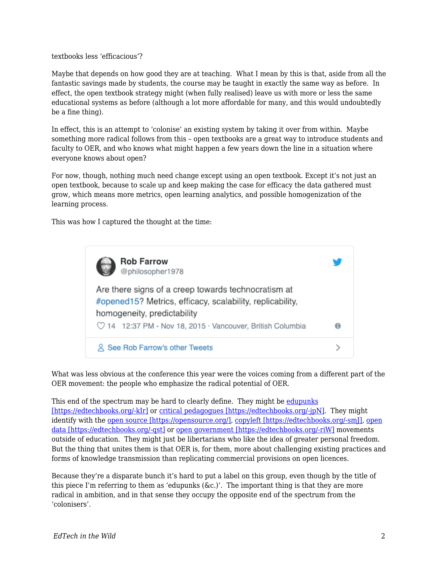textbooks less 'efficacious'?

Maybe that depends on how good they are at teaching. What I mean by this is that, aside from all the fantastic savings made by students, the course may be taught in exactly the same way as before. In effect, the open textbook strategy might (when fully realised) leave us with more or less the same educational systems as before (although a lot more affordable for many, and this would undoubtedly be a fine thing).

In effect, this is an attempt to 'colonise' an existing system by taking it over from within. Maybe something more radical follows from this – open textbooks are a great way to introduce students and faculty to OER, and who knows what might happen a few years down the line in a situation where everyone knows about open?

For now, though, nothing much need change except using an open textbook. Except it's not just an open textbook, because to scale up and keep making the case for efficacy the data gathered must grow, which means more metrics, open learning analytics, and possible homogenization of the learning process.

This was how I captured the thought at the time:



What was less obvious at the conference this year were the voices coming from a different part of the OER movement: the people who emphasize the radical potential of OER.

This end of the spectrum may be hard to clearly define. They might be [edupunks](https://en.wikipedia.org/wiki/Edupunk) [\[https://edtechbooks.org/-kIr\]](https://en.wikipedia.org/wiki/Edupunk) or [critical pedagogues \[https://edtechbooks.org/-jpN\].](https://en.wikiversity.org/wiki/Introduction_to_Critical_Pedagogy) They might identify with the [open source \[https://opensource.org/\]](https://opensource.org/), [copyleft \[https://edtechbooks.org/-smJ\]](http://www.gnu.org/licenses/copyleft.en.html), [open](http://opendatahandbook.org/guide/en/what-is-open-data/) [data \[https://edtechbooks.org/-qst\]](http://opendatahandbook.org/guide/en/what-is-open-data/) or [open government \[https://edtechbooks.org/-riW\]](https://en.wikipedia.org/wiki/Open_government) movements outside of education. They might just be libertarians who like the idea of greater personal freedom. But the thing that unites them is that OER is, for them, more about challenging existing practices and forms of knowledge transmission than replicating commercial provisions on open licences.

Because they're a disparate bunch it's hard to put a label on this group, even though by the title of this piece I'm referring to them as 'edupunks ( $\&c$ .)'. The important thing is that they are more radical in ambition, and in that sense they occupy the opposite end of the spectrum from the 'colonisers'.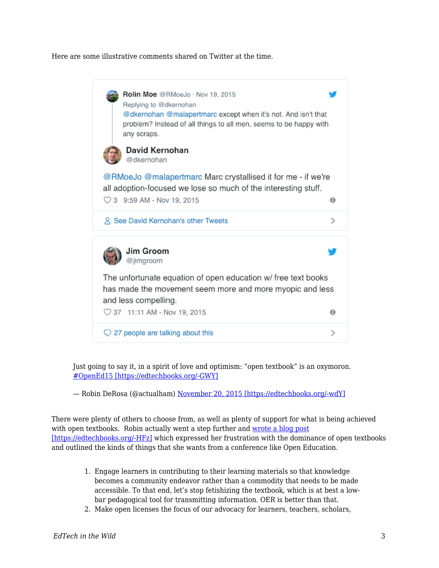Here are some illustrative comments shared on Twitter at the time.



Just going to say it, in a spirit of love and optimism: "open textbook" is an oxymoron. [#OpenEd15 \[https://edtechbooks.org/-GWY\]](https://twitter.com/hashtag/OpenEd15?src=hash)

— Robin DeRosa (@actualham) [November 20, 2015 \[https://edtechbooks.org/-wdY\]](https://twitter.com/actualham/status/667755175935782912)

There were plenty of others to choose from, as well as plenty of support for what is being achieved with open textbooks. Robin actually went a step further and [wrote a blog post](http://robinderosa.net/uncategorized/open-textbooks-ugh/) [\[https://edtechbooks.org/-HFz\]](http://robinderosa.net/uncategorized/open-textbooks-ugh/) which expressed her frustration with the dominance of open textbooks and outlined the kinds of things that she wants from a conference like Open Education.

- 1. Engage learners in contributing to their learning materials so that knowledge becomes a community endeavor rather than a commodity that needs to be made accessible. To that end, let's stop fetishizing the textbook, which is at best a lowbar pedagogical tool for transmitting information. OER is better than that.
- 2. Make open licenses the focus of our advocacy for learners, teachers, scholars,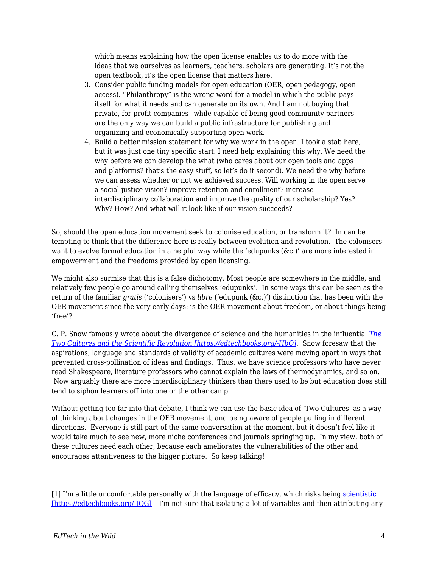which means explaining how the open license enables us to do more with the ideas that we ourselves as learners, teachers, scholars are generating. It's not the open textbook, it's the open license that matters here.

- 3. Consider public funding models for open education (OER, open pedagogy, open access). "Philanthropy" is the wrong word for a model in which the public pays itself for what it needs and can generate on its own. And I am not buying that private, for-profit companies– while capable of being good community partners– are the only way we can build a public infrastructure for publishing and organizing and economically supporting open work.
- 4. Build a better mission statement for why we work in the open. I took a stab here, but it was just one tiny specific start. I need help explaining this why. We need the why before we can develop the what (who cares about our open tools and apps and platforms? that's the easy stuff, so let's do it second). We need the why before we can assess whether or not we achieved success. Will working in the open serve a social justice vision? improve retention and enrollment? increase interdisciplinary collaboration and improve the quality of our scholarship? Yes? Why? How? And what will it look like if our vision succeeds?

So, should the open education movement seek to colonise education, or transform it? In can be tempting to think that the difference here is really between evolution and revolution. The colonisers want to evolve formal education in a helpful way while the 'edupunks (&c.)' are more interested in empowerment and the freedoms provided by open licensing.

We might also surmise that this is a false dichotomy. Most people are somewhere in the middle, and relatively few people go around calling themselves 'edupunks'. In some ways this can be seen as the return of the familiar *gratis* ('colonisers') vs *libre* ('edupunk (&c.)') distinction that has been with the OER movement since the very early days: is the OER movement about freedom, or about things being 'free'?

C. P. Snow famously wrote about the divergence of science and the humanities in the influential *[The](http://sciencepolicy.colorado.edu/students/envs_5110/snow_1959.pdf) [Two Cultures and the Scientific Revolution \[https://edtechbooks.org/-HbQ\]](http://sciencepolicy.colorado.edu/students/envs_5110/snow_1959.pdf).* Snow foresaw that the aspirations, language and standards of validity of academic cultures were moving apart in ways that prevented cross-pollination of ideas and findings. Thus, we have science professors who have never read Shakespeare, literature professors who cannot explain the laws of thermodynamics, and so on. Now arguably there are more interdisciplinary thinkers than there used to be but education does still tend to siphon learners off into one or the other camp.

Without getting too far into that debate, I think we can use the basic idea of 'Two Cultures' as a way of thinking about changes in the OER movement, and being aware of people pulling in different directions. Everyone is still part of the same conversation at the moment, but it doesn't feel like it would take much to see new, more niche conferences and journals springing up. In my view, both of these cultures need each other, because each ameliorates the vulnerabilities of the other and encourages attentiveness to the bigger picture. So keep talking!

<sup>[1]</sup> I'm a little uncomfortable personally with the language of efficacy, which risks being [scientistic](https://en.wikipedia.org/wiki/Scientism) [\[https://edtechbooks.org/-IQG\]](https://en.wikipedia.org/wiki/Scientism) – I'm not sure that isolating a lot of variables and then attributing any